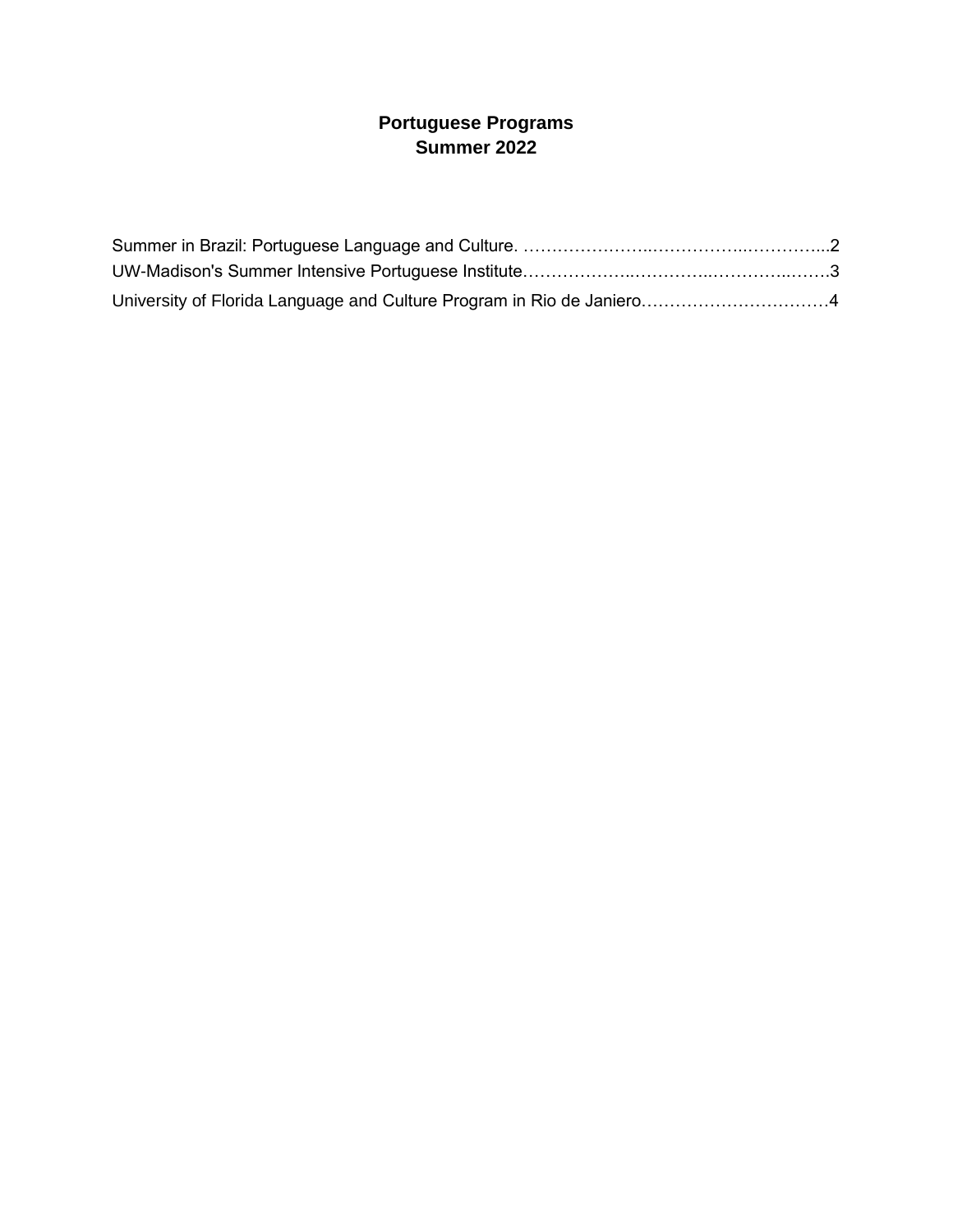# **Portuguese Programs Summer 2022**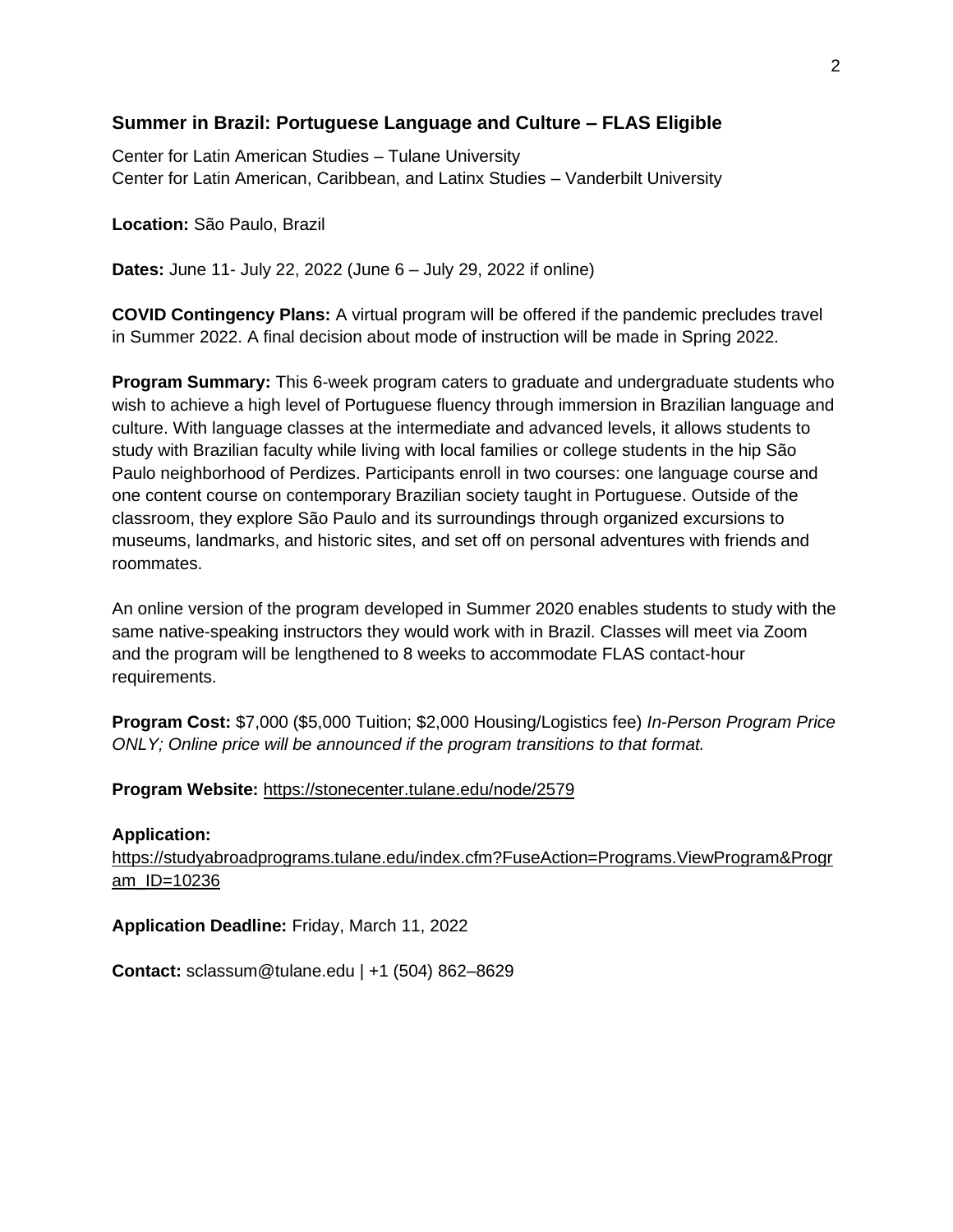## **Summer in Brazil: Portuguese Language and Culture – FLAS Eligible**

Center for Latin American Studies – Tulane University Center for Latin American, Caribbean, and Latinx Studies – Vanderbilt University

**Location:** São Paulo, Brazil

**Dates:** June 11- July 22, 2022 (June 6 – July 29, 2022 if online)

**COVID Contingency Plans:** A virtual program will be offered if the pandemic precludes travel in Summer 2022. A final decision about mode of instruction will be made in Spring 2022.

**Program Summary:** This 6-week program caters to graduate and undergraduate students who wish to achieve a high level of Portuguese fluency through immersion in Brazilian language and culture. With language classes at the intermediate and advanced levels, it allows students to study with Brazilian faculty while living with local families or college students in the hip São Paulo neighborhood of Perdizes. Participants enroll in two courses: one language course and one content course on contemporary Brazilian society taught in Portuguese. Outside of the classroom, they explore São Paulo and its surroundings through organized excursions to museums, landmarks, and historic sites, and set off on personal adventures with friends and roommates.

An online version of the program developed in Summer 2020 enables students to study with the same native-speaking instructors they would work with in Brazil. Classes will meet via Zoom and the program will be lengthened to 8 weeks to accommodate FLAS contact-hour requirements.

**Program Cost:** \$7,000 (\$5,000 Tuition; \$2,000 Housing/Logistics fee) *In-Person Program Price ONLY; Online price will be announced if the program transitions to that format.*

### **Program Website:** <https://stonecenter.tulane.edu/node/2579>

**Application:** [https://studyabroadprograms.tulane.edu/index.cfm?FuseAction=Programs.ViewProgram&Progr](https://studyabroadprograms.tulane.edu/index.cfm?FuseAction=Programs.ViewProgram&Program_ID=10236) [am\\_ID=10236](https://studyabroadprograms.tulane.edu/index.cfm?FuseAction=Programs.ViewProgram&Program_ID=10236) 

**Application Deadline:** Friday, March 11, 2022

**Contact:** sclassum@tulane.edu | +1 (504) 862–8629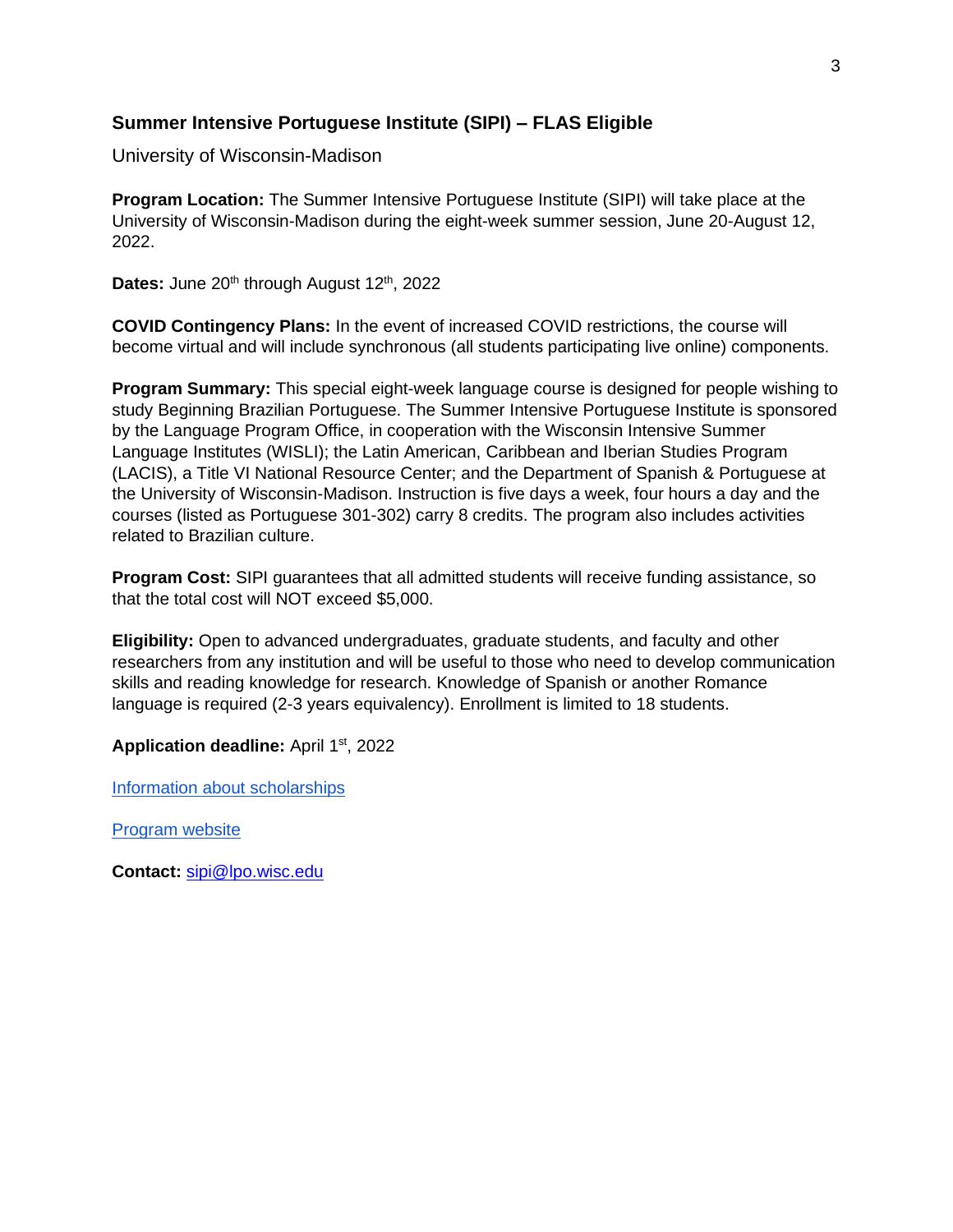## **Summer Intensive Portuguese Institute (SIPI) – FLAS Eligible**

University of Wisconsin-Madison

**Program Location:** The Summer Intensive Portuguese Institute (SIPI) will take place at the University of Wisconsin-Madison during the eight-week summer session, June 20-August 12, 2022.

Dates: June 20<sup>th</sup> through August 12<sup>th</sup>, 2022

**COVID Contingency Plans:** In the event of increased COVID restrictions, the course will become virtual and will include synchronous (all students participating live online) components.

**Program Summary:** This special eight-week language course is designed for people wishing to study Beginning Brazilian Portuguese. The Summer Intensive Portuguese Institute is sponsored by the Language Program Office, in cooperation with the Wisconsin Intensive Summer Language Institutes (WISLI); the Latin American, Caribbean and Iberian Studies Program (LACIS), a Title VI National Resource Center; and the Department of Spanish & Portuguese at the University of Wisconsin-Madison. Instruction is five days a week, four hours a day and the courses (listed as Portuguese 301-302) carry 8 credits. The program also includes activities related to Brazilian culture.

**Program Cost:** SIPI guarantees that all admitted students will receive funding assistance, so that the total cost will NOT exceed \$5,000.

**Eligibility:** Open to advanced undergraduates, graduate students, and faculty and other researchers from any institution and will be useful to those who need to develop communication skills and reading knowledge for research. Knowledge of Spanish or another Romance language is required (2-3 years equivalency). Enrollment is limited to 18 students.

**Application deadline:** April 1st, 2022

[Information about scholarships](https://sipi.wisc.edu/costs-and-funding/)

[Program website](https://sipi.wisc.edu/)

**Contact:** [sipi@lpo.wisc.edu](mailto:sipi@lpo.wisc.edu)